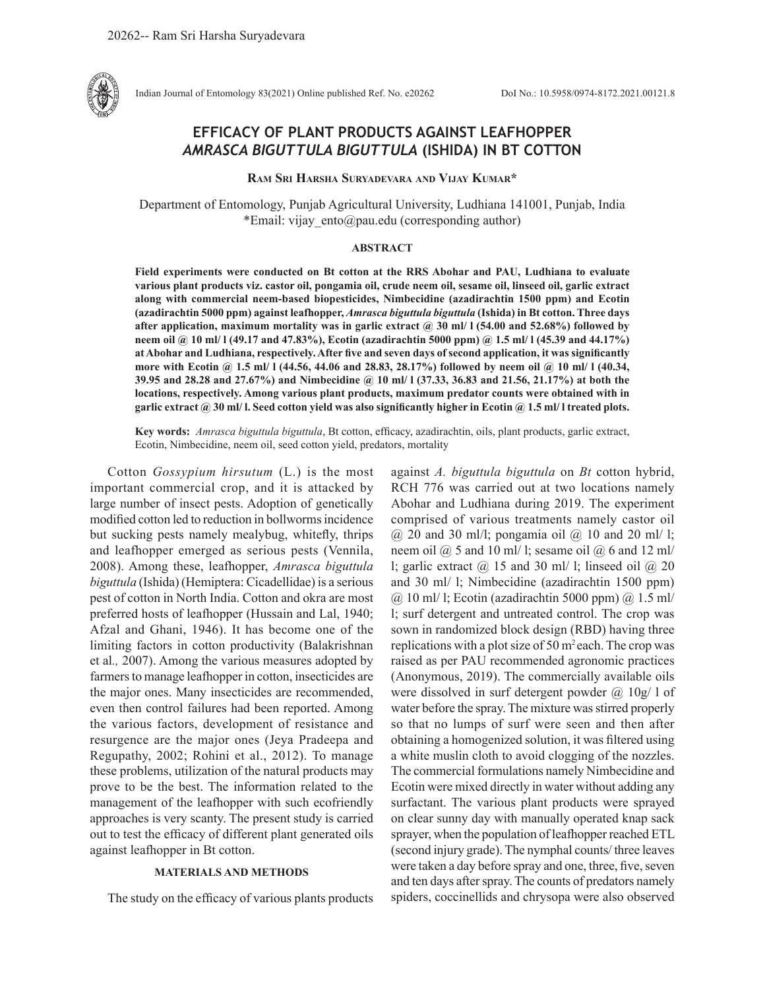

Indian Journal of Entomology 83(2021) Online published Ref. No. e20262 DoI No.: 10.5958/0974-8172.2021.00121.8

# **EFFICACY OF PLANT PRODUCTS AGAINST LEAFHOPPER**  *AMRASCA BIGUTTULA BIGUTTULA* **(ISHIDA) IN BT COTTON**

**Ram Sri Harsha Suryadevara and Vijay Kumar\***

Department of Entomology, Punjab Agricultural University, Ludhiana 141001, Punjab, India \*Email: vijay ento@pau.edu (corresponding author)

# **ABSTRACT**

**Field experiments were conducted on Bt cotton at the RRS Abohar and PAU, Ludhiana to evaluate various plant products viz. castor oil, pongamia oil, crude neem oil, sesame oil, linseed oil, garlic extract along with commercial neem-based biopesticides, Nimbecidine (azadirachtin 1500 ppm) and Ecotin (azadirachtin 5000 ppm) against leafhopper,** *Amrasca biguttula biguttula* **(Ishida) in Bt cotton. Three days after application, maximum mortality was in garlic extract @ 30 ml/ l (54.00 and 52.68%) followed by neem oil @ 10 ml/ l (49.17 and 47.83%), Ecotin (azadirachtin 5000 ppm) @ 1.5 ml/ l (45.39 and 44.17%) at Abohar and Ludhiana, respectively. After five and seven days of second application, it was significantly more with Ecotin @ 1.5 ml/ l (44.56, 44.06 and 28.83, 28.17%) followed by neem oil @ 10 ml/ l (40.34, 39.95 and 28.28 and 27.67%) and Nimbecidine @ 10 ml/ l (37.33, 36.83 and 21.56, 21.17%) at both the locations, respectively. Among various plant products, maximum predator counts were obtained with in garlic extract @ 30 ml/ l. Seed cotton yield was also significantly higher in Ecotin @ 1.5 ml/ l treated plots.** 

**Key words:** *Amrasca biguttula biguttula*, Bt cotton, efficacy, azadirachtin, oils, plant products, garlic extract, Ecotin, Nimbecidine, neem oil, seed cotton yield, predators, mortality

Cotton *Gossypium hirsutum* (L.) is the most important commercial crop, and it is attacked by large number of insect pests. Adoption of genetically modified cotton led to reduction in bollworms incidence but sucking pests namely mealybug, whitefly, thrips and leafhopper emerged as serious pests (Vennila, 2008). Among these, leafhopper, *Amrasca biguttula biguttula* (Ishida) (Hemiptera: Cicadellidae) is a serious pest of cotton in North India. Cotton and okra are most preferred hosts of leafhopper (Hussain and Lal, 1940; Afzal and Ghani, 1946). It has become one of the limiting factors in cotton productivity (Balakrishnan et al*.,* 2007). Among the various measures adopted by farmers to manage leafhopper in cotton, insecticides are the major ones. Many insecticides are recommended, even then control failures had been reported. Among the various factors, development of resistance and resurgence are the major ones (Jeya Pradeepa and Regupathy, 2002; Rohini et al., 2012). To manage these problems, utilization of the natural products may prove to be the best. The information related to the management of the leafhopper with such ecofriendly approaches is very scanty. The present study is carried out to test the efficacy of different plant generated oils against leafhopper in Bt cotton.

# **MATERIALS AND METHODS**

The study on the efficacy of various plants products

against *A. biguttula biguttula* on *Bt* cotton hybrid, RCH 776 was carried out at two locations namely Abohar and Ludhiana during 2019. The experiment comprised of various treatments namely castor oil  $(a)$  20 and 30 ml/l; pongamia oil  $(a)$  10 and 20 ml/l; neem oil  $\omega$  5 and 10 ml/ l; sesame oil  $\omega$  6 and 12 ml/ l; garlic extract  $\omega$  15 and 30 ml/ l; linseed oil  $\omega$  20 and 30 ml/ l; Nimbecidine (azadirachtin 1500 ppm)  $(a)$  10 ml/ l; Ecotin (azadirachtin 5000 ppm)  $(a)$  1.5 ml/ l; surf detergent and untreated control. The crop was sown in randomized block design (RBD) having three replications with a plot size of  $50 \text{ m}^2$  each. The crop was raised as per PAU recommended agronomic practices (Anonymous, 2019). The commercially available oils were dissolved in surf detergent powder  $(a)$  10g/ l of water before the spray. The mixture was stirred properly so that no lumps of surf were seen and then after obtaining a homogenized solution, it was filtered using a white muslin cloth to avoid clogging of the nozzles. The commercial formulations namely Nimbecidine and Ecotin were mixed directly in water without adding any surfactant. The various plant products were sprayed on clear sunny day with manually operated knap sack sprayer, when the population of leafhopper reached ETL (second injury grade). The nymphal counts/ three leaves were taken a day before spray and one, three, five, seven and ten days after spray. The counts of predators namely spiders, coccinellids and chrysopa were also observed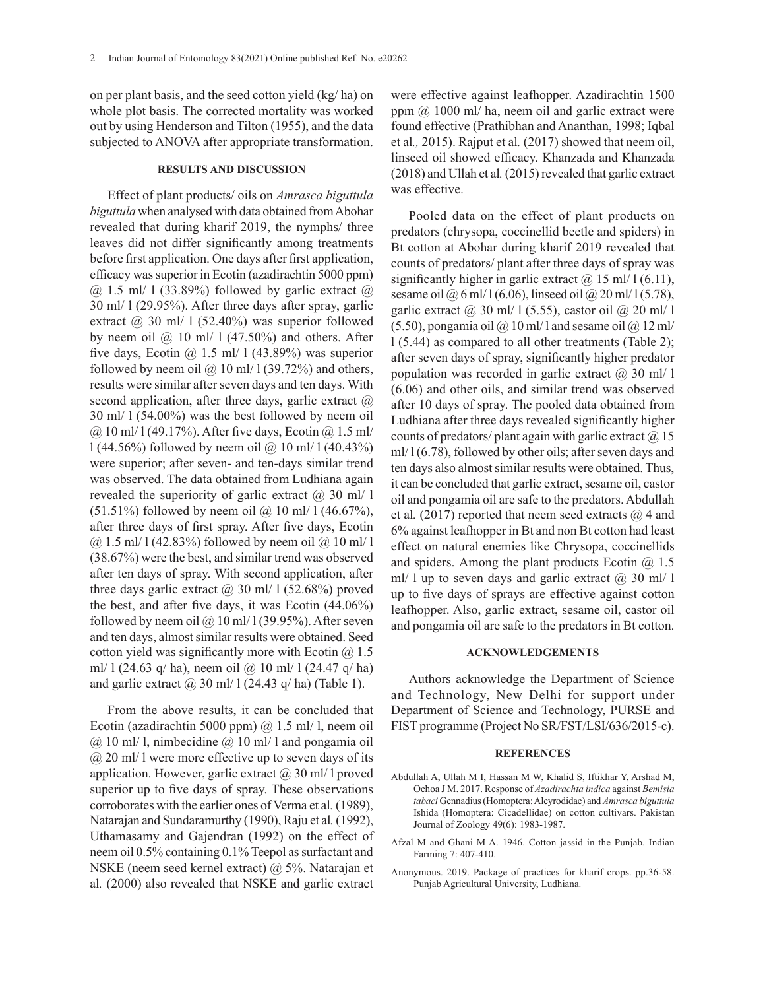on per plant basis, and the seed cotton yield (kg/ ha) on whole plot basis. The corrected mortality was worked out by using Henderson and Tilton (1955), and the data subjected to ANOVA after appropriate transformation.

### **RESULTS AND DISCUSSION**

Effect of plant products/ oils on *Amrasca biguttula biguttula* when analysed with data obtained from Abohar revealed that during kharif 2019, the nymphs/ three leaves did not differ significantly among treatments before first application. One days after first application, efficacy was superior in Ecotin (azadirachtin 5000 ppm)  $(a)$  1.5 ml/ 1 (33.89%) followed by garlic extract  $(a)$ 30 ml/ l (29.95%). After three days after spray, garlic extract  $\omega$  30 ml/ 1 (52.40%) was superior followed by neem oil  $\omega$  10 ml/ 1 (47.50%) and others. After five days, Ecotin  $\omega$  1.5 ml/ 1 (43.89%) was superior followed by neem oil  $\omega$  10 ml/ 1 (39.72%) and others, results were similar after seven days and ten days. With second application, after three days, garlic extract  $\omega$ 30 ml/ l (54.00%) was the best followed by neem oil  $\omega$  10 ml/ 1 (49.17%). After five days, Ecotin  $\omega$  1.5 ml/ l (44.56%) followed by neem oil @ 10 ml/ l (40.43%) were superior; after seven- and ten-days similar trend was observed. The data obtained from Ludhiana again revealed the superiority of garlic extract  $\omega$  30 ml/ l  $(51.51\%)$  followed by neem oil  $\omega$  10 ml/ 1 (46.67%), after three days of first spray. After five days, Ecotin  $(a)$  1.5 ml/ 1 (42.83%) followed by neem oil  $(a)$  10 ml/ 1 (38.67%) were the best, and similar trend was observed after ten days of spray. With second application, after three days garlic extract  $\omega$  30 ml/ 1 (52.68%) proved the best, and after five days, it was Ecotin (44.06%) followed by neem oil @  $10$  ml/ $1(39.95%)$ . After seven and ten days, almost similar results were obtained. Seed cotton yield was significantly more with Ecotin  $(a)$  1.5 ml/ 1 (24.63 q/ ha), neem oil @ 10 ml/ 1 (24.47 q/ ha) and garlic extract  $\omega$  30 ml/ 1 (24.43 q/ ha) (Table 1).

From the above results, it can be concluded that Ecotin (azadirachtin 5000 ppm) @ 1.5 ml/ l, neem oil  $\omega$  10 ml/ l, nimbecidine  $\omega$  10 ml/ l and pongamia oil  $\omega$  20 ml/ l were more effective up to seven days of its application. However, garlic extract  $\omega$  30 ml/ l proved superior up to five days of spray. These observations corroborates with the earlier ones of Verma et al*.* (1989), Natarajan and Sundaramurthy (1990), Raju et al*.* (1992), Uthamasamy and Gajendran (1992) on the effect of neem oil 0.5% containing 0.1% Teepol as surfactant and NSKE (neem seed kernel extract) @ 5%. Natarajan et al*.* (2000) also revealed that NSKE and garlic extract

were effective against leafhopper. Azadirachtin 1500 ppm @ 1000 ml/ ha, neem oil and garlic extract were found effective (Prathibhan and Ananthan, 1998; Iqbal et al*.,* 2015). Rajput et al*.* (2017) showed that neem oil, linseed oil showed efficacy. Khanzada and Khanzada (2018) and Ullah et al*.* (2015) revealed that garlic extract was effective.

Pooled data on the effect of plant products on predators (chrysopa, coccinellid beetle and spiders) in Bt cotton at Abohar during kharif 2019 revealed that counts of predators/ plant after three days of spray was significantly higher in garlic extract  $\omega$  15 ml/ 1 (6.11), sesame oil  $\omega_0$  6 ml/ 1 (6.06), linseed oil  $\omega_0$  20 ml/ 1 (5.78), garlic extract  $\omega$  30 ml/ 1 (5.55), castor oil  $\omega$  20 ml/ 1  $(5.50)$ , pongamia oil  $\omega$  10 ml/ l and sesame oil  $\omega$  12 ml/ l (5.44) as compared to all other treatments (Table 2); after seven days of spray, significantly higher predator population was recorded in garlic extract  $(a)$  30 ml/ l (6.06) and other oils, and similar trend was observed after 10 days of spray. The pooled data obtained from Ludhiana after three days revealed significantly higher counts of predators/ plant again with garlic extract  $\omega(0, 15)$ ml/ l (6.78), followed by other oils; after seven days and ten days also almost similar results were obtained. Thus, it can be concluded that garlic extract, sesame oil, castor oil and pongamia oil are safe to the predators. Abdullah et al. (2017) reported that neem seed extracts @ 4 and 6% against leafhopper in Bt and non Bt cotton had least effect on natural enemies like Chrysopa, coccinellids and spiders. Among the plant products Ecotin  $(a)$  1.5 ml/ 1 up to seven days and garlic extract  $(a)$  30 ml/ 1 up to five days of sprays are effective against cotton leafhopper. Also, garlic extract, sesame oil, castor oil and pongamia oil are safe to the predators in Bt cotton.

# **ACKNOWLEDGEMENTS**

Authors acknowledge the Department of Science and Technology, New Delhi for support under Department of Science and Technology, PURSE and FIST programme (Project No SR/FST/LSI/636/2015-c).

#### **REFERENCES**

- Abdullah A, Ullah M I, Hassan M W, Khalid S, Iftikhar Y, Arshad M, Ochoa J M. 2017. Response of *Azadirachta indica* against *Bemisia tabaci* Gennadius (Homoptera: Aleyrodidae) and *Amrasca biguttula*  Ishida (Homoptera: Cicadellidae) on cotton cultivars. Pakistan Journal of Zoology 49(6): 1983-1987.
- Afzal M and Ghani M A. 1946. Cotton jassid in the Punjab*.* Indian Farming 7: 407-410.
- Anonymous. 2019. Package of practices for kharif crops. pp.36-58. Punjab Agricultural University, Ludhiana.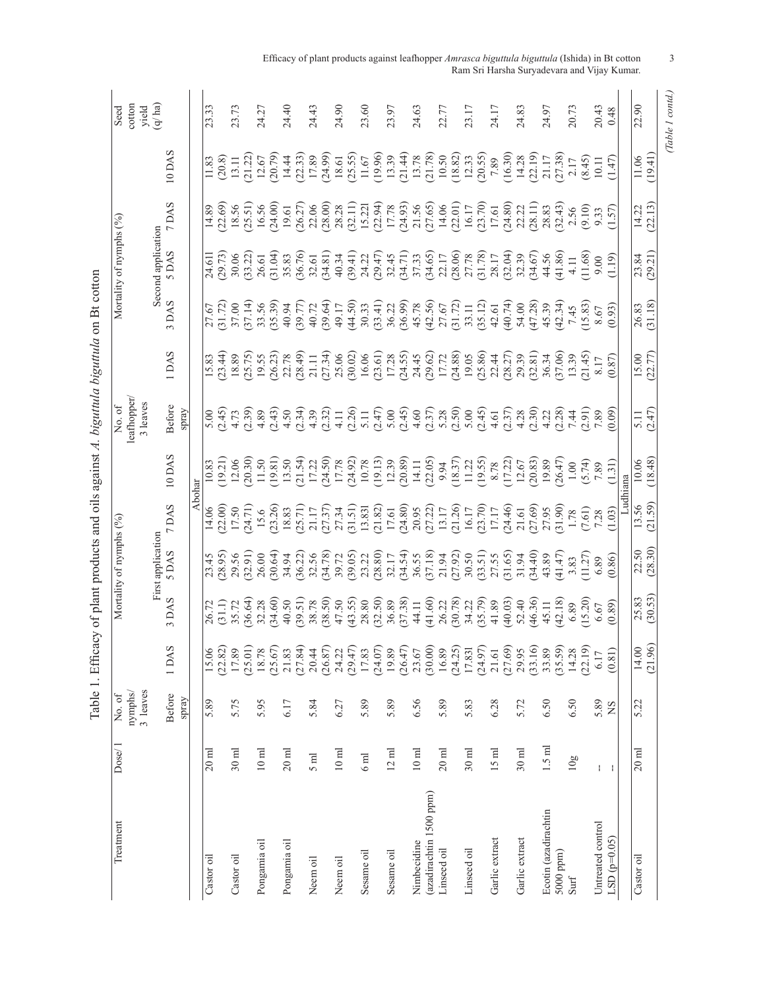| Treatment               | Dose/1           | No.of               |         |                                                                     | Mortality of nymphs (%)           |                                   |                                                                                    | No.of                                                                                                                                                                                                                                                                                                                                                                                                                                                                                                        |                                              |                                                                                                       | Mortality of nymphs (%)                                    |                                                                                                                                                                                                                                                                                            |                                                                                                                                                                                                                                                                                                         | Seed           |
|-------------------------|------------------|---------------------|---------|---------------------------------------------------------------------|-----------------------------------|-----------------------------------|------------------------------------------------------------------------------------|--------------------------------------------------------------------------------------------------------------------------------------------------------------------------------------------------------------------------------------------------------------------------------------------------------------------------------------------------------------------------------------------------------------------------------------------------------------------------------------------------------------|----------------------------------------------|-------------------------------------------------------------------------------------------------------|------------------------------------------------------------|--------------------------------------------------------------------------------------------------------------------------------------------------------------------------------------------------------------------------------------------------------------------------------------------|---------------------------------------------------------------------------------------------------------------------------------------------------------------------------------------------------------------------------------------------------------------------------------------------------------|----------------|
|                         |                  | 3 leaves<br>nymphs/ |         |                                                                     |                                   |                                   |                                                                                    | leafhopper/<br>3 leaves                                                                                                                                                                                                                                                                                                                                                                                                                                                                                      |                                              |                                                                                                       |                                                            |                                                                                                                                                                                                                                                                                            |                                                                                                                                                                                                                                                                                                         | cotton         |
|                         |                  |                     |         |                                                                     | First application                 |                                   |                                                                                    |                                                                                                                                                                                                                                                                                                                                                                                                                                                                                                              |                                              |                                                                                                       | Second application                                         |                                                                                                                                                                                                                                                                                            |                                                                                                                                                                                                                                                                                                         | yield<br>q/ha) |
|                         |                  | <b>Before</b>       | 1DAS    | 3 DAS                                                               | 5 DAS                             | 7 DAS                             | 10 DAS                                                                             | Before                                                                                                                                                                                                                                                                                                                                                                                                                                                                                                       | 1 DAS                                        | 3 DAS                                                                                                 | 5 DAS                                                      | 7 DAS                                                                                                                                                                                                                                                                                      | 10 DAS                                                                                                                                                                                                                                                                                                  |                |
|                         |                  | spray               |         |                                                                     |                                   |                                   |                                                                                    | spray                                                                                                                                                                                                                                                                                                                                                                                                                                                                                                        |                                              |                                                                                                       |                                                            |                                                                                                                                                                                                                                                                                            |                                                                                                                                                                                                                                                                                                         |                |
|                         |                  |                     |         |                                                                     |                                   | Abohar                            |                                                                                    |                                                                                                                                                                                                                                                                                                                                                                                                                                                                                                              |                                              |                                                                                                       |                                                            |                                                                                                                                                                                                                                                                                            |                                                                                                                                                                                                                                                                                                         |                |
| Castor oil              | $20 \text{ ml}$  | 5.89                | 15.06   |                                                                     | 23.45                             | 14.06                             |                                                                                    | 5.00                                                                                                                                                                                                                                                                                                                                                                                                                                                                                                         | 15.83                                        | 27.67                                                                                                 | 24.611                                                     | 14.89                                                                                                                                                                                                                                                                                      | 11.83                                                                                                                                                                                                                                                                                                   | 23.33          |
|                         |                  |                     | (22.82) | (31.1)                                                              | (28.95)                           | (22.00)                           | (19.21)                                                                            |                                                                                                                                                                                                                                                                                                                                                                                                                                                                                                              |                                              |                                                                                                       | (29.73)                                                    | 22.69)<br>18.56                                                                                                                                                                                                                                                                            | (20.8)                                                                                                                                                                                                                                                                                                  |                |
| Castor oil              | $30$ ml          | 5.75                | 17.89   | 35.72                                                               | 29.56                             | 17.50                             | 12.06                                                                              |                                                                                                                                                                                                                                                                                                                                                                                                                                                                                                              | $(23.44)$<br>$18.89$<br>$(25.75)$<br>$19.55$ |                                                                                                       | 30.06                                                      |                                                                                                                                                                                                                                                                                            | 13.11                                                                                                                                                                                                                                                                                                   | 23.73          |
|                         |                  |                     | (25.01) | $(36.64)$<br>$32.28$                                                | $(32.91)$<br>$26.00$              | (17.24)                           | 20.30)                                                                             |                                                                                                                                                                                                                                                                                                                                                                                                                                                                                                              |                                              |                                                                                                       | 33.22                                                      | $(25.51)$<br>16.56                                                                                                                                                                                                                                                                         | (21.22)                                                                                                                                                                                                                                                                                                 |                |
| Pongamia oil            | $10\ \mathrm{m}$ | 5.95                | 18.78   |                                                                     |                                   | 15.6                              | 11.50                                                                              | $\begin{array}{l} \mathcal{G}\cap\mathcal{C}\supseteq\mathcal{S}\supseteq\mathcal{C}\supseteq\mathcal{A}\supseteq\mathcal{C}\supseteq\mathcal{C}\supseteq\mathcal{C}\supseteq\mathcal{C}\supseteq\mathcal{C}\supseteq\mathcal{C}\supseteq\mathcal{C}\supseteq\mathcal{C}\supseteq\mathcal{C}\supseteq\mathcal{C}\supseteq\mathcal{C}\supseteq\mathcal{C}\supseteq\mathcal{C}\supseteq\mathcal{C}\supseteq\mathcal{C}\supseteq\mathcal{C}\supseteq\mathcal{C}\supseteq\mathcal{C}\supseteq\mathcal{C}\supset$ |                                              | $\begin{array}{l} 31.72)\\ 37.00\\ 37.14)\\ 37.56\\ 33.59\\ 34.77)\\ 49.72\\ 49.9\\ 49.17\end{array}$ | 26.61                                                      |                                                                                                                                                                                                                                                                                            | $\frac{12.67}{(20.79)}$                                                                                                                                                                                                                                                                                 | 24.27          |
|                         |                  |                     | (25.67) | (34.60)                                                             | (30.64)                           | (23.26)                           | 19.81)                                                                             |                                                                                                                                                                                                                                                                                                                                                                                                                                                                                                              |                                              |                                                                                                       | (31.04)                                                    | (24.00)                                                                                                                                                                                                                                                                                    |                                                                                                                                                                                                                                                                                                         |                |
| Pongamia oil            | $20$ ml          | 6.17                | 21.83   | 40.50                                                               | 34.94                             | 18.83                             | 13.50                                                                              |                                                                                                                                                                                                                                                                                                                                                                                                                                                                                                              |                                              |                                                                                                       | 35.83                                                      | 19.61                                                                                                                                                                                                                                                                                      | 14.44                                                                                                                                                                                                                                                                                                   | 24.40          |
|                         |                  |                     | (27.84) |                                                                     |                                   | (25.71)                           | 21.54                                                                              |                                                                                                                                                                                                                                                                                                                                                                                                                                                                                                              |                                              |                                                                                                       | (36.76)                                                    |                                                                                                                                                                                                                                                                                            |                                                                                                                                                                                                                                                                                                         |                |
| Neem oil                | 5 <sub>md</sub>  | 5.84                | 20.44   |                                                                     | $(36.22)$<br>$32.56$<br>$(34.78)$ | 21.17                             | 17.22                                                                              |                                                                                                                                                                                                                                                                                                                                                                                                                                                                                                              |                                              |                                                                                                       | 32.61                                                      |                                                                                                                                                                                                                                                                                            | $(22.33)$<br>17.89<br>(24.99)                                                                                                                                                                                                                                                                           | 24.43          |
|                         |                  |                     | (26.87) | $\begin{array}{c} (39.51) \\ 38.78 \\ (38.50) \\ 47.50 \end{array}$ |                                   | (27.37)                           | 24.50)                                                                             |                                                                                                                                                                                                                                                                                                                                                                                                                                                                                                              |                                              |                                                                                                       | (34.81)                                                    | $(26.27)$<br>$22.06$<br>$(28.00)$<br>$28.28$                                                                                                                                                                                                                                               |                                                                                                                                                                                                                                                                                                         |                |
| Neem oil                | $10\ \mathrm{m}$ | 6.27                | 24.22   |                                                                     | 39.72                             | 27.34                             | 17.78                                                                              |                                                                                                                                                                                                                                                                                                                                                                                                                                                                                                              |                                              |                                                                                                       | 40.34                                                      |                                                                                                                                                                                                                                                                                            |                                                                                                                                                                                                                                                                                                         | 24.90          |
|                         |                  |                     | (29.47) | $(43.55)28.8029.5936.8937.38$                                       | (39.05)                           | (31.51)                           | (24.92)                                                                            |                                                                                                                                                                                                                                                                                                                                                                                                                                                                                                              |                                              |                                                                                                       | (39.41)                                                    |                                                                                                                                                                                                                                                                                            |                                                                                                                                                                                                                                                                                                         |                |
| Sesame oil              | 6 <sub>ml</sub>  | 5.89                | 17.83   |                                                                     | 23.22                             | 13.831                            |                                                                                    |                                                                                                                                                                                                                                                                                                                                                                                                                                                                                                              |                                              |                                                                                                       | 24.22<br>(29.47)                                           |                                                                                                                                                                                                                                                                                            |                                                                                                                                                                                                                                                                                                         | 23.60          |
|                         |                  |                     | (24.07) |                                                                     | (28.80)                           | (21.82)                           |                                                                                    |                                                                                                                                                                                                                                                                                                                                                                                                                                                                                                              |                                              |                                                                                                       |                                                            |                                                                                                                                                                                                                                                                                            |                                                                                                                                                                                                                                                                                                         |                |
| Sesame oil              | $12 \text{ ml}$  | 5.89                | 19.89   |                                                                     | 32.17                             | 17.61                             |                                                                                    |                                                                                                                                                                                                                                                                                                                                                                                                                                                                                                              |                                              |                                                                                                       | 32.45                                                      |                                                                                                                                                                                                                                                                                            |                                                                                                                                                                                                                                                                                                         | 23.97          |
|                         |                  |                     | (26.47) |                                                                     |                                   |                                   |                                                                                    |                                                                                                                                                                                                                                                                                                                                                                                                                                                                                                              |                                              |                                                                                                       | $(34.71)$<br>$37.33$                                       |                                                                                                                                                                                                                                                                                            |                                                                                                                                                                                                                                                                                                         |                |
| Nimbecidine             | $10\ \mathrm{m}$ | 6.56                | 23.67   | $44.11$<br>$(41.60)$                                                | $(34.54)$<br>$36.55$<br>$(37.18)$ | $(24.80)$<br>$20.95$<br>$(27.22)$ | $\begin{array}{c} 10.78 \\ 19.13 \\ 12.39 \\ 12.0.89 \\ 14.11 \\ 9.94 \end{array}$ |                                                                                                                                                                                                                                                                                                                                                                                                                                                                                                              |                                              |                                                                                                       |                                                            |                                                                                                                                                                                                                                                                                            |                                                                                                                                                                                                                                                                                                         | 24.63          |
| (azadirachtin 1500 ppm) |                  |                     | (30.00) |                                                                     |                                   |                                   |                                                                                    |                                                                                                                                                                                                                                                                                                                                                                                                                                                                                                              |                                              |                                                                                                       | (34.65)                                                    |                                                                                                                                                                                                                                                                                            |                                                                                                                                                                                                                                                                                                         |                |
| Linseed oil             | $20$ ml          | 5.89                | 16.89   |                                                                     | 21.94                             | 13.17                             |                                                                                    |                                                                                                                                                                                                                                                                                                                                                                                                                                                                                                              |                                              |                                                                                                       | 22.17                                                      |                                                                                                                                                                                                                                                                                            |                                                                                                                                                                                                                                                                                                         | 22.77          |
|                         |                  |                     | (24.25) |                                                                     | $(27.92)$<br>30.50                | $(21.26)$<br>16.17                |                                                                                    |                                                                                                                                                                                                                                                                                                                                                                                                                                                                                                              |                                              |                                                                                                       |                                                            |                                                                                                                                                                                                                                                                                            |                                                                                                                                                                                                                                                                                                         |                |
| Linseed oil             | $30$ ml          | 5.83                | 17.831  | 26.22<br>(30.78)<br>(34.22)<br>(35.79)                              |                                   |                                   | $\begin{array}{c} (18.37) \\ 11.22 \\ (19.55) \\ 8.78 \end{array}$                 |                                                                                                                                                                                                                                                                                                                                                                                                                                                                                                              |                                              |                                                                                                       | $\begin{array}{c} (28.06) \\ 27.78 \\ (31.78) \end{array}$ | $\begin{array}{l} (32.11)\\ 15.221\\ 15.231\\ (22.94)\\ (24.93)\\ (34.93)\\ (34.95)\\ (34.96)\\ (35.65)\\ (31.50)\\ (31.50)\\ (32.61)\\ (33.70)\\ (34.71)\\ (35.72)\\ (36.73)\\ (37.61)\\ (38.71)\\ (39.72)\\ (31.73)\\ (31.74)\\ (32.75)\\ (33.76)\\ (34.71)\\ (35.72)\\ (35.73)\\ (36.7$ |                                                                                                                                                                                                                                                                                                         | 23.17          |
|                         |                  |                     | (24.97) |                                                                     | $(33.51)$<br>$27.55$              | (23.70)                           |                                                                                    |                                                                                                                                                                                                                                                                                                                                                                                                                                                                                                              |                                              |                                                                                                       |                                                            |                                                                                                                                                                                                                                                                                            |                                                                                                                                                                                                                                                                                                         |                |
| Garlic extract          | $15$ ml          | 6.28                | 21.61   | 41.89<br>(40.03)<br>52.40<br>5.36)<br>45.11<br>42.18)               |                                   | 17.17                             |                                                                                    |                                                                                                                                                                                                                                                                                                                                                                                                                                                                                                              |                                              |                                                                                                       | 28.17                                                      |                                                                                                                                                                                                                                                                                            | $\begin{array}{l} 13.61 \\ 15.67 \\ 16.79 \\ 17.78 \\ 18.79 \\ 19.80 \\ 15.78 \\ 19.78 \\ 19.80 \\ 13.78 \\ 15.80 \\ 16.80 \\ 17.80 \\ 18.81 \\ 19.80 \\ 19.80 \\ 19.80 \\ 11.7 \\ 11.7 \\ 11.7 \\ 11.7 \\ 11.7 \\ 11.7 \\ 11.7 \\ 11.7 \\ 11.7 \\ 11.7 \\ 11.7 \\ 12.8 \\ 13.8 \\ 14.8 \\ 15.8 \\ 16.$ | 24.17          |
|                         |                  |                     | (27.69) |                                                                     | $(31.65)$<br>31.94                | 24.46)                            | 17.22)                                                                             |                                                                                                                                                                                                                                                                                                                                                                                                                                                                                                              |                                              |                                                                                                       |                                                            |                                                                                                                                                                                                                                                                                            |                                                                                                                                                                                                                                                                                                         |                |
| Garlic extract          | $30$ ml          | 5.72                | 29.95   |                                                                     |                                   | 21.61                             | $12.67$<br>$20.83$                                                                 |                                                                                                                                                                                                                                                                                                                                                                                                                                                                                                              |                                              |                                                                                                       | $(32.04)$<br>$32.39$<br>$(34.67)$                          | $(24.80)$<br>$22.22$<br>$(28.11)$                                                                                                                                                                                                                                                          |                                                                                                                                                                                                                                                                                                         | 24.83          |
|                         |                  |                     | (33.16) |                                                                     | 34.40)                            | (69)                              |                                                                                    |                                                                                                                                                                                                                                                                                                                                                                                                                                                                                                              |                                              |                                                                                                       |                                                            |                                                                                                                                                                                                                                                                                            |                                                                                                                                                                                                                                                                                                         |                |
| Ecotin (azadirachtin    | $1.5 \text{ ml}$ | 6.50                | 33.89   |                                                                     | 43.89                             | 27.95                             | 19.89                                                                              |                                                                                                                                                                                                                                                                                                                                                                                                                                                                                                              |                                              |                                                                                                       | 44.56                                                      | 28.83                                                                                                                                                                                                                                                                                      |                                                                                                                                                                                                                                                                                                         | 24.97          |
| 5000 ppm)               |                  |                     | (35.59) |                                                                     | 41.47                             | 31.90)                            | 26.47)                                                                             |                                                                                                                                                                                                                                                                                                                                                                                                                                                                                                              |                                              |                                                                                                       | 41.86)                                                     | 32.43                                                                                                                                                                                                                                                                                      |                                                                                                                                                                                                                                                                                                         |                |
| Surf                    | 10g              | 6.50                | 14.28   | 6.89                                                                | 3.83                              | 1.78                              | 1.00                                                                               |                                                                                                                                                                                                                                                                                                                                                                                                                                                                                                              |                                              |                                                                                                       | 4.11                                                       | 2.56                                                                                                                                                                                                                                                                                       | $2.17$<br>$8.45$<br>$10.11$<br>$1.47$                                                                                                                                                                                                                                                                   | 20.73          |
|                         |                  |                     | (22.19) | 15.20                                                               | 11.27                             | (7.61)                            | (5.74)                                                                             |                                                                                                                                                                                                                                                                                                                                                                                                                                                                                                              | $\frac{(21.45)}{8.17}$                       |                                                                                                       | 11.68                                                      | (9.10)                                                                                                                                                                                                                                                                                     |                                                                                                                                                                                                                                                                                                         |                |
| Untreated control       | Ŧ                | 5.89                | 6.17    | 6.67                                                                | 6.89                              | $7.28$<br>(1.03)                  |                                                                                    | 7.89                                                                                                                                                                                                                                                                                                                                                                                                                                                                                                         |                                              |                                                                                                       |                                                            |                                                                                                                                                                                                                                                                                            |                                                                                                                                                                                                                                                                                                         | 20.43          |
| LSD $(p=0.05)$          | J.               | SN                  | (0.81)  | (0.89)                                                              | (0.86)                            |                                   |                                                                                    | (60)                                                                                                                                                                                                                                                                                                                                                                                                                                                                                                         | (187)                                        |                                                                                                       | (61.19)                                                    | 1.57                                                                                                                                                                                                                                                                                       |                                                                                                                                                                                                                                                                                                         | 0.48           |
|                         |                  |                     |         |                                                                     |                                   | Lud<br>1                          | hiana                                                                              |                                                                                                                                                                                                                                                                                                                                                                                                                                                                                                              |                                              |                                                                                                       |                                                            |                                                                                                                                                                                                                                                                                            |                                                                                                                                                                                                                                                                                                         |                |
| Castor oil              | $20$ ml          | 5.22                | 14.00   | 25.83<br>(30.53)                                                    | 22.50<br>(28.30)                  | 13.56<br>(21.59)                  | 10.06                                                                              | 5.11                                                                                                                                                                                                                                                                                                                                                                                                                                                                                                         | $15.00$<br>(22.77)                           | 26.83<br>(31.18)                                                                                      | 23.84<br>(29.21)                                           | 14.22                                                                                                                                                                                                                                                                                      | 11.06                                                                                                                                                                                                                                                                                                   | 22.90          |
|                         |                  |                     | (21.96) |                                                                     |                                   |                                   | (18.48)                                                                            | (2.47)                                                                                                                                                                                                                                                                                                                                                                                                                                                                                                       |                                              |                                                                                                       |                                                            | (22.13)                                                                                                                                                                                                                                                                                    | (19.41)                                                                                                                                                                                                                                                                                                 |                |

Table 1. Efficacy of plant products and oils against A. biguttula biguttula on Bt cotton Table 1. Efficacy of plant products and oils against *A. biguttula biguttula* on Bt cotton

 Efficacy of plant products against leafhopper *Amrasca biguttula biguttula* (Ishida) in Bt cotton 3 Ram Sri Harsha Suryadevara and Vijay Kumar.

*(Table 1 contd.)*

(Table 1 contd.)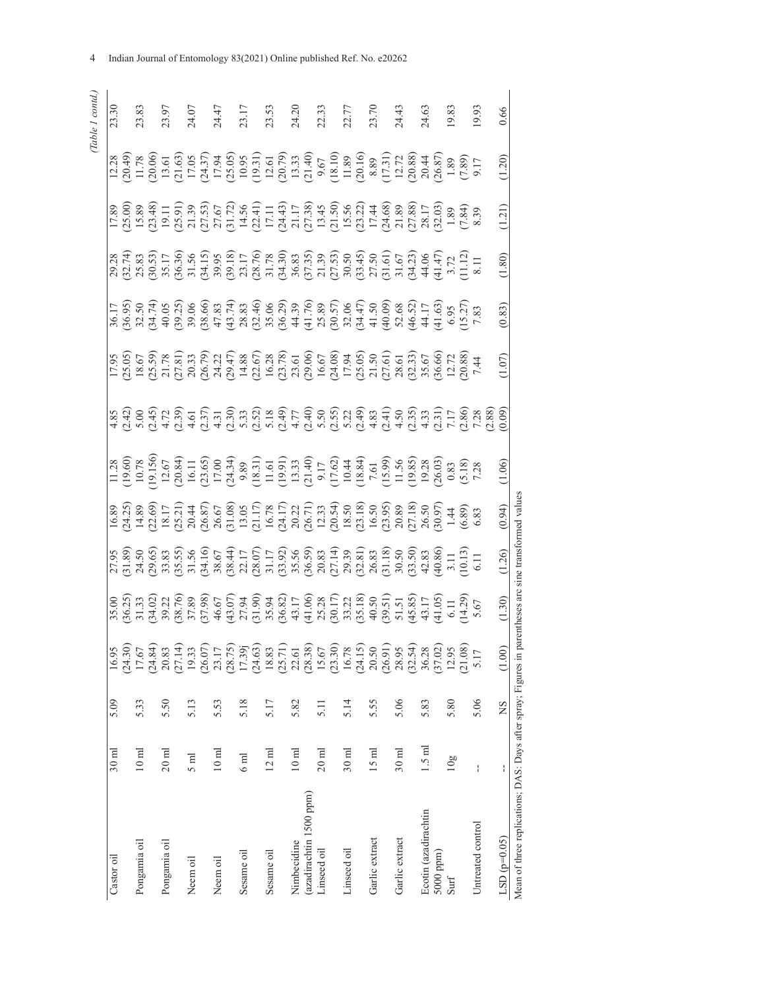| ١ |
|---|
|   |
| Í |

| Castor oil                                                    | $30 \text{ ml}$   | 5.09 | 16.95                                                               |                                        |        |                                                                                                                                                                                                                                                                                                                                |                                                                                                                                                                                                                                                                                                               |                                                                                                                                                                                                                                                                       |                                                                                                                                                                                                                                |                                                                                                                                                                                                                                                                                                                                                                                                                                                                                                    |        |        | 23.30 |
|---------------------------------------------------------------|-------------------|------|---------------------------------------------------------------------|----------------------------------------|--------|--------------------------------------------------------------------------------------------------------------------------------------------------------------------------------------------------------------------------------------------------------------------------------------------------------------------------------|---------------------------------------------------------------------------------------------------------------------------------------------------------------------------------------------------------------------------------------------------------------------------------------------------------------|-----------------------------------------------------------------------------------------------------------------------------------------------------------------------------------------------------------------------------------------------------------------------|--------------------------------------------------------------------------------------------------------------------------------------------------------------------------------------------------------------------------------|----------------------------------------------------------------------------------------------------------------------------------------------------------------------------------------------------------------------------------------------------------------------------------------------------------------------------------------------------------------------------------------------------------------------------------------------------------------------------------------------------|--------|--------|-------|
|                                                               |                   |      |                                                                     |                                        |        |                                                                                                                                                                                                                                                                                                                                |                                                                                                                                                                                                                                                                                                               |                                                                                                                                                                                                                                                                       |                                                                                                                                                                                                                                |                                                                                                                                                                                                                                                                                                                                                                                                                                                                                                    |        |        |       |
| Pongamia oil                                                  | $10 \text{ ml}$   | 5.33 | $(24.30)$<br>17.67                                                  |                                        |        | $\begin{array}{l} 8 & 8 \\ 9 & 4 \\ 1 & 3 \\ 2 & 4 \\ 3 & 5 \\ 4 & 6 \\ 5 & 6 \\ 6 & 6 \\ 7 & 8 \\ 8 & 9 \\ 9 & 11 \\ 11 & 12 \\ 13 & 14 \\ 15 & 16 \\ 16 & 17 \\ 17 & 18 \\ 18 & 19 \\ 19 & 10 \\ 10 & 10 \\ 11 & 12 \\ 13 & 13 \\ 14 & 15 \\ 15 & 16 \\ 16 & 17 \\ 17 & 19 \\ 18 & 19 \\ 19 & 19 \\ 19 & 19 \\ 19 & 19 \\ 1$ | $\begin{array}{l} 1.28 \\ 1.29 \\ 1.50 \\ 2.11 \\ 2.22 \\ 2.33 \\ 2.45 \\ 2.56 \\ 2.57 \\ 2.58 \\ 2.59 \\ 2.50 \\ 2.50 \\ 2.50 \\ 2.50 \\ 2.50 \\ 2.50 \\ 2.50 \\ 2.50 \\ 2.50 \\ 2.50 \\ 2.50 \\ 2.50 \\ 2.50 \\ 2.50 \\ 2.50 \\ 2.50 \\ 2.50 \\ 2.50 \\ 2.50 \\ 2.50 \\ 2.50 \\ 2.50 \\ 2.50 \\ 2.50 \\ 2.$ | $\begin{array}{l} 5.655 & 5.875 & 5.875 & 5.875 & 5.875 & 5.875 & 5.875 & 5.875 & 5.875 & 5.875 & 5.875 & 5.875 & 5.875 & 5.875 & 5.875 & 5.875 & 5.875 & 5.875 & 5.875 & 5.875 & 5.875 & 5.875 & 5.875 & 5.875 & 5.875 & 5.875 & 5.875 & 5.875 & 5.875 & 5.875 & 5.$ | $-5.5$ s $-7.5$ s $-7.5$ s $-7.5$ s $-7.5$ s $-7.5$ s $-7.5$ s $-7.5$ s $-7.5$ s $-7.5$ s $-7.5$ s $-7.5$ s $-7.5$ s $-7.5$ s $-7.5$ s $-7.5$ s $-7.5$ s $-7.5$ s $-7.5$ s $-7.5$ s $-7.5$ s $-7.5$ s $-7.5$ s $-7.5$ s $-7.5$ | $\begin{array}{l} \mathcal{R}\ \mathcal{A}\ \mathcal{A}\ \mathcal{B}\ \mathcal{B}\ \mathcal{C}\ \mathcal{C}\ \mathcal{C}\ \mathcal{C}\ \mathcal{C}\ \mathcal{C}\ \mathcal{C}\ \mathcal{C}\ \mathcal{C}\ \mathcal{C}\ \mathcal{C}\ \mathcal{C}\ \mathcal{C}\ \mathcal{C}\ \mathcal{C}\ \mathcal{C}\ \mathcal{C}\ \mathcal{C}\ \mathcal{C}\ \mathcal{C}\ \mathcal{C}\ \mathcal{C}\ \mathcal{C}\ \mathcal{C}\ \mathcal{C}\ \mathcal{C}\ \mathcal{C}\ \mathcal{C}\ \mathcal{C}\ \mathcal{C}\ \mathcal$ |        |        | 23.83 |
|                                                               |                   |      |                                                                     |                                        |        |                                                                                                                                                                                                                                                                                                                                |                                                                                                                                                                                                                                                                                                               |                                                                                                                                                                                                                                                                       |                                                                                                                                                                                                                                |                                                                                                                                                                                                                                                                                                                                                                                                                                                                                                    |        |        |       |
| Pongamia oil                                                  | $20$ ml           | 5.50 | $(24.84)$<br>20.83                                                  |                                        |        |                                                                                                                                                                                                                                                                                                                                |                                                                                                                                                                                                                                                                                                               |                                                                                                                                                                                                                                                                       |                                                                                                                                                                                                                                |                                                                                                                                                                                                                                                                                                                                                                                                                                                                                                    |        |        | 23.97 |
|                                                               |                   |      |                                                                     |                                        |        |                                                                                                                                                                                                                                                                                                                                |                                                                                                                                                                                                                                                                                                               |                                                                                                                                                                                                                                                                       |                                                                                                                                                                                                                                |                                                                                                                                                                                                                                                                                                                                                                                                                                                                                                    |        |        |       |
| Neem oil                                                      | $\overline{5}$ ml | 5.13 | $(27.14)$<br>19.33                                                  |                                        |        |                                                                                                                                                                                                                                                                                                                                |                                                                                                                                                                                                                                                                                                               |                                                                                                                                                                                                                                                                       |                                                                                                                                                                                                                                |                                                                                                                                                                                                                                                                                                                                                                                                                                                                                                    |        |        | 24.07 |
|                                                               |                   |      | $(26.07)$<br>$23.17$                                                |                                        |        |                                                                                                                                                                                                                                                                                                                                |                                                                                                                                                                                                                                                                                                               |                                                                                                                                                                                                                                                                       |                                                                                                                                                                                                                                |                                                                                                                                                                                                                                                                                                                                                                                                                                                                                                    |        |        |       |
| Neem oil                                                      | $10 \text{ ml}$   | 5.53 |                                                                     |                                        |        |                                                                                                                                                                                                                                                                                                                                |                                                                                                                                                                                                                                                                                                               |                                                                                                                                                                                                                                                                       |                                                                                                                                                                                                                                |                                                                                                                                                                                                                                                                                                                                                                                                                                                                                                    |        |        | 24.47 |
|                                                               |                   |      | $(28.75)$<br>17.39j                                                 |                                        |        |                                                                                                                                                                                                                                                                                                                                |                                                                                                                                                                                                                                                                                                               |                                                                                                                                                                                                                                                                       |                                                                                                                                                                                                                                |                                                                                                                                                                                                                                                                                                                                                                                                                                                                                                    |        |        |       |
| Sesame oil                                                    | 6 <sub>nn</sub>   | 5.18 |                                                                     |                                        |        |                                                                                                                                                                                                                                                                                                                                |                                                                                                                                                                                                                                                                                                               |                                                                                                                                                                                                                                                                       |                                                                                                                                                                                                                                |                                                                                                                                                                                                                                                                                                                                                                                                                                                                                                    |        |        | 23.17 |
|                                                               |                   |      | (24.63)                                                             |                                        |        |                                                                                                                                                                                                                                                                                                                                |                                                                                                                                                                                                                                                                                                               |                                                                                                                                                                                                                                                                       |                                                                                                                                                                                                                                |                                                                                                                                                                                                                                                                                                                                                                                                                                                                                                    |        |        |       |
| Sesame oil                                                    | $12 \text{ ml}$   | 5.17 | 18.83                                                               |                                        |        |                                                                                                                                                                                                                                                                                                                                |                                                                                                                                                                                                                                                                                                               |                                                                                                                                                                                                                                                                       |                                                                                                                                                                                                                                |                                                                                                                                                                                                                                                                                                                                                                                                                                                                                                    |        |        | 23.53 |
|                                                               |                   |      |                                                                     |                                        |        |                                                                                                                                                                                                                                                                                                                                |                                                                                                                                                                                                                                                                                                               |                                                                                                                                                                                                                                                                       |                                                                                                                                                                                                                                |                                                                                                                                                                                                                                                                                                                                                                                                                                                                                                    |        |        |       |
| Nimbecidine                                                   | $10 \text{ ml}$   | 5.82 |                                                                     |                                        |        |                                                                                                                                                                                                                                                                                                                                |                                                                                                                                                                                                                                                                                                               |                                                                                                                                                                                                                                                                       |                                                                                                                                                                                                                                |                                                                                                                                                                                                                                                                                                                                                                                                                                                                                                    |        |        | 24.20 |
| (azadirachtin 1500 ppm)                                       |                   |      | $\begin{array}{c} (25.71) \\ 22.61 \\ (28.38) \\ 15.67 \end{array}$ |                                        |        |                                                                                                                                                                                                                                                                                                                                |                                                                                                                                                                                                                                                                                                               |                                                                                                                                                                                                                                                                       |                                                                                                                                                                                                                                |                                                                                                                                                                                                                                                                                                                                                                                                                                                                                                    |        |        |       |
| Linseed oil                                                   | $20$ ml           | 5.11 |                                                                     |                                        |        |                                                                                                                                                                                                                                                                                                                                |                                                                                                                                                                                                                                                                                                               |                                                                                                                                                                                                                                                                       |                                                                                                                                                                                                                                |                                                                                                                                                                                                                                                                                                                                                                                                                                                                                                    |        |        | 22.33 |
|                                                               |                   |      | $(23.30)$<br>$16.78$<br>$(24.15)$<br>$20.50$                        |                                        |        |                                                                                                                                                                                                                                                                                                                                |                                                                                                                                                                                                                                                                                                               |                                                                                                                                                                                                                                                                       |                                                                                                                                                                                                                                |                                                                                                                                                                                                                                                                                                                                                                                                                                                                                                    |        |        |       |
| Linseed oil                                                   | $30$ ml           | 5.14 |                                                                     |                                        |        |                                                                                                                                                                                                                                                                                                                                |                                                                                                                                                                                                                                                                                                               |                                                                                                                                                                                                                                                                       |                                                                                                                                                                                                                                |                                                                                                                                                                                                                                                                                                                                                                                                                                                                                                    |        |        | 22.77 |
|                                                               |                   |      |                                                                     |                                        |        |                                                                                                                                                                                                                                                                                                                                |                                                                                                                                                                                                                                                                                                               |                                                                                                                                                                                                                                                                       |                                                                                                                                                                                                                                |                                                                                                                                                                                                                                                                                                                                                                                                                                                                                                    |        |        |       |
| Garlic extract                                                | $15$ m $l$        | 5.55 |                                                                     |                                        |        |                                                                                                                                                                                                                                                                                                                                |                                                                                                                                                                                                                                                                                                               |                                                                                                                                                                                                                                                                       |                                                                                                                                                                                                                                |                                                                                                                                                                                                                                                                                                                                                                                                                                                                                                    |        |        | 23.70 |
|                                                               |                   |      | $(26.91)$<br>$28.95$                                                |                                        |        |                                                                                                                                                                                                                                                                                                                                |                                                                                                                                                                                                                                                                                                               |                                                                                                                                                                                                                                                                       |                                                                                                                                                                                                                                |                                                                                                                                                                                                                                                                                                                                                                                                                                                                                                    |        |        |       |
| Garlic extract                                                | $30$ ml           | 5.06 |                                                                     |                                        |        |                                                                                                                                                                                                                                                                                                                                |                                                                                                                                                                                                                                                                                                               |                                                                                                                                                                                                                                                                       |                                                                                                                                                                                                                                |                                                                                                                                                                                                                                                                                                                                                                                                                                                                                                    |        |        | 24.43 |
|                                                               |                   |      |                                                                     |                                        |        |                                                                                                                                                                                                                                                                                                                                |                                                                                                                                                                                                                                                                                                               |                                                                                                                                                                                                                                                                       |                                                                                                                                                                                                                                |                                                                                                                                                                                                                                                                                                                                                                                                                                                                                                    |        |        |       |
| Ecotin (azadirachtin                                          | $1.5$ m $1$       | 5.83 |                                                                     |                                        |        |                                                                                                                                                                                                                                                                                                                                |                                                                                                                                                                                                                                                                                                               |                                                                                                                                                                                                                                                                       |                                                                                                                                                                                                                                |                                                                                                                                                                                                                                                                                                                                                                                                                                                                                                    |        |        | 24.63 |
| 5000 ppm)                                                     |                   |      | $(32.54)$<br>$36.28$<br>$(37.02)$<br>$12.95$                        |                                        |        |                                                                                                                                                                                                                                                                                                                                |                                                                                                                                                                                                                                                                                                               |                                                                                                                                                                                                                                                                       |                                                                                                                                                                                                                                |                                                                                                                                                                                                                                                                                                                                                                                                                                                                                                    |        |        |       |
| Surf                                                          | 10g               | 5.80 |                                                                     |                                        |        |                                                                                                                                                                                                                                                                                                                                |                                                                                                                                                                                                                                                                                                               |                                                                                                                                                                                                                                                                       |                                                                                                                                                                                                                                |                                                                                                                                                                                                                                                                                                                                                                                                                                                                                                    |        |        | 19.83 |
|                                                               |                   |      | (21.08)                                                             |                                        |        |                                                                                                                                                                                                                                                                                                                                |                                                                                                                                                                                                                                                                                                               |                                                                                                                                                                                                                                                                       |                                                                                                                                                                                                                                |                                                                                                                                                                                                                                                                                                                                                                                                                                                                                                    |        |        |       |
| Untreated control                                             | ł                 | 5.06 | 5.17                                                                |                                        |        |                                                                                                                                                                                                                                                                                                                                |                                                                                                                                                                                                                                                                                                               |                                                                                                                                                                                                                                                                       |                                                                                                                                                                                                                                |                                                                                                                                                                                                                                                                                                                                                                                                                                                                                                    |        |        | 19.93 |
|                                                               |                   |      |                                                                     |                                        |        |                                                                                                                                                                                                                                                                                                                                |                                                                                                                                                                                                                                                                                                               |                                                                                                                                                                                                                                                                       |                                                                                                                                                                                                                                |                                                                                                                                                                                                                                                                                                                                                                                                                                                                                                    |        |        |       |
| $LSD(p=0.05)$                                                 | ł                 | SN   | (1.00)                                                              | $\frac{30}{2}$                         | (1.26) | (0.94)                                                                                                                                                                                                                                                                                                                         | 1.06                                                                                                                                                                                                                                                                                                          | 1.07                                                                                                                                                                                                                                                                  | (0.83)                                                                                                                                                                                                                         | (1.80)                                                                                                                                                                                                                                                                                                                                                                                                                                                                                             | (1.21) | (1.20) | 0.66  |
| Mean of three replications; DAS: Days after spray; Figures in |                   |      |                                                                     | parentheses arc sine transformed value |        |                                                                                                                                                                                                                                                                                                                                |                                                                                                                                                                                                                                                                                                               |                                                                                                                                                                                                                                                                       |                                                                                                                                                                                                                                |                                                                                                                                                                                                                                                                                                                                                                                                                                                                                                    |        |        |       |
|                                                               |                   |      |                                                                     |                                        |        |                                                                                                                                                                                                                                                                                                                                |                                                                                                                                                                                                                                                                                                               |                                                                                                                                                                                                                                                                       |                                                                                                                                                                                                                                |                                                                                                                                                                                                                                                                                                                                                                                                                                                                                                    |        |        |       |